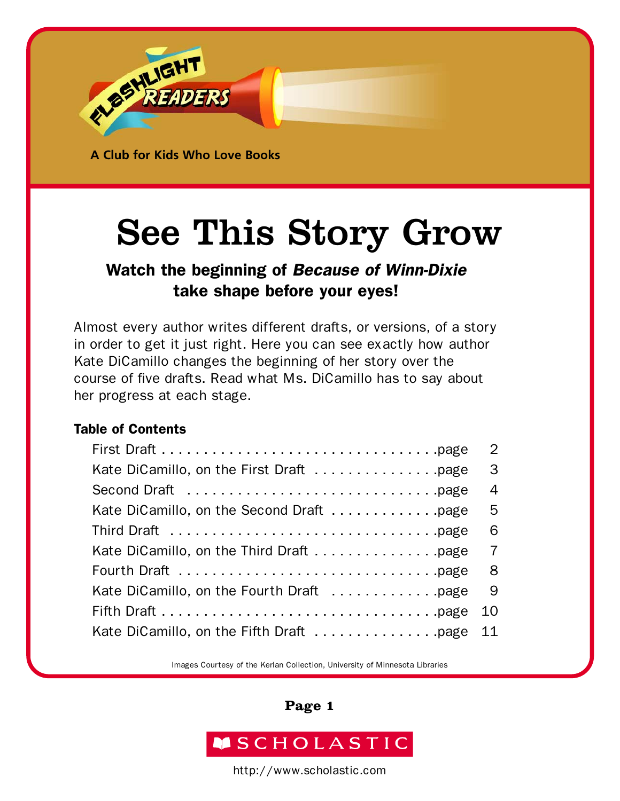

See This Story Grow

## Watch the beginning of *Because of Winn-Dixie*  take shape before your eyes!

Almost every author writes different drafts, or versions, of a story in order to get it just right. Here you can see exactly how author Kate DiCamillo changes the beginning of her story over the course of five drafts. Read what Ms. DiCamillo has to say about her progress at each stage.

## Table of Contents

|                                          | $\overline{2}$ |
|------------------------------------------|----------------|
| Kate DiCamillo, on the First Draft page  | 3              |
|                                          | $\overline{4}$ |
| Kate DiCamillo, on the Second Draft page | 5              |
|                                          | 6              |
| Kate DiCamillo, on the Third Draft page  | $\overline{7}$ |
|                                          | 8              |
|                                          | 9              |
|                                          | 10             |
| Kate DiCamillo, on the Fifth Draft page  | 11             |

Images Courtesy of the Kerlan Collection, University of Minnesota Libraries

### **Page 1**

## **MSCHOLASTIC**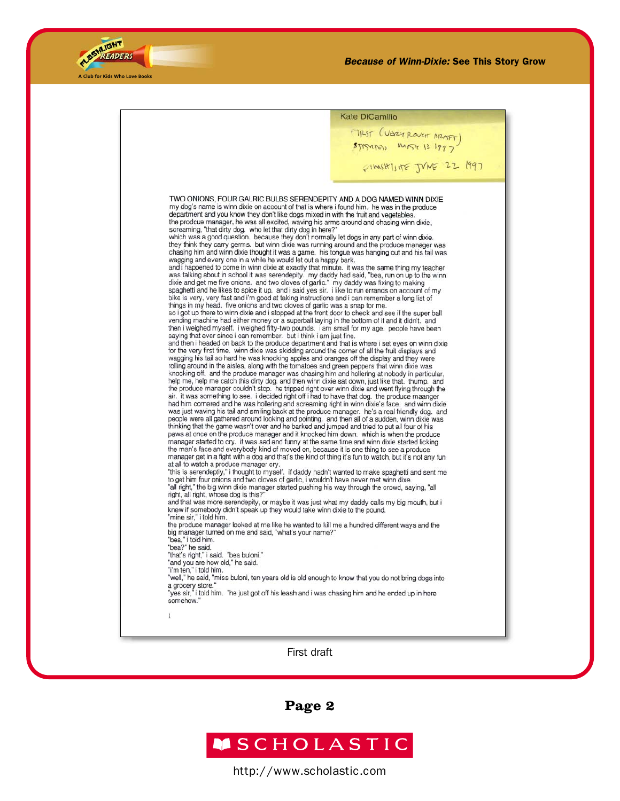

| MAST (VEREY ROVET ARAFT)<br>FIMSHISTE JVNE 22 1997<br>TWO ONIONS, FOUR GALRIC BULBS SERENDEPITY AND A DOG NAMED WINN DIXIE<br>my dog's name is winn dixie on account of that is where i found him. he was in the produce<br>department and you know they don't like dogs mixed in with the fruit and vegetables.<br>the prodcue manager, he was all excited, waving his arms around and chasing winn dixie,<br>screaming. "that dirty dog. who let that dirty dog in here?"<br>which was a good question. because they don't normally let dogs in any part of winn dixie.<br>they think they carry germs. but winn dixie was running around and the produce manager was<br>chasing him and winn dixie thought it was a game. his tongue was hanging out and his tail was<br>wagging and every one in a while he would let out a happy bark.<br>and i happened to come in winn dixie at exactly that minute. it was the same thing my teacher<br>was talking about in school it was serendepity. my daddy had said, "bea, run on up to the winn<br>dixie and get me five onions. and two cloves of garlic." my daddy was fixing to making<br>spaghetti and he likes to spice it up. and i said yes sir. i like to run errands on account of my<br>bike is very, very fast and i'm good at taking instructions and i can remember a long list of<br>things in my head. five onions and two cloves of garlic was a snap for me.<br>so i got up there to winn dixie and i stopped at the front door to check and see if the super ball<br>vending machine had either money or a superball laying in the bottom of it and it didn't. and<br>then i weighed myself. i weighed fifty-two pounds. i am small for my age. people have been<br>saying that ever since i can remember. but i think i am just fine.<br>and then i headed on back to the produce department and that is where i set eyes on winn dixie<br>for the very first time. winn dixie was skidding around the corner of all the fruit displays and<br>wagging his tail so hard he was knocking apples and oranges off the display and they were<br>rolling around in the aisles, along with the tomatoes and green peppers that winn dixie was<br>knocking off. and the produce manager was chasing him and hollering at nobody in particular,<br>help me, help me catch this dirty dog. and then winn dixie sat down, just like that. thump. and<br>the produce manager couldn't stop. he tripped right over winn dixie and went flying through the<br>air. it was something to see. i decided right off i had to have that dog. the produce maanger<br>had him cornered and he was hollering and screaming right in winn dixie's face, and winn dixie | <b>Kate DiCamillo</b>                                                                           |
|--------------------------------------------------------------------------------------------------------------------------------------------------------------------------------------------------------------------------------------------------------------------------------------------------------------------------------------------------------------------------------------------------------------------------------------------------------------------------------------------------------------------------------------------------------------------------------------------------------------------------------------------------------------------------------------------------------------------------------------------------------------------------------------------------------------------------------------------------------------------------------------------------------------------------------------------------------------------------------------------------------------------------------------------------------------------------------------------------------------------------------------------------------------------------------------------------------------------------------------------------------------------------------------------------------------------------------------------------------------------------------------------------------------------------------------------------------------------------------------------------------------------------------------------------------------------------------------------------------------------------------------------------------------------------------------------------------------------------------------------------------------------------------------------------------------------------------------------------------------------------------------------------------------------------------------------------------------------------------------------------------------------------------------------------------------------------------------------------------------------------------------------------------------------------------------------------------------------------------------------------------------------------------------------------------------------------------------------------------------------------------------------------------------------------------------------------------------------------------------------------------------------------------------------------------------------------------------------------------------------------------------------------------------------------------------------------------------------|-------------------------------------------------------------------------------------------------|
|                                                                                                                                                                                                                                                                                                                                                                                                                                                                                                                                                                                                                                                                                                                                                                                                                                                                                                                                                                                                                                                                                                                                                                                                                                                                                                                                                                                                                                                                                                                                                                                                                                                                                                                                                                                                                                                                                                                                                                                                                                                                                                                                                                                                                                                                                                                                                                                                                                                                                                                                                                                                                                                                                                                    |                                                                                                 |
|                                                                                                                                                                                                                                                                                                                                                                                                                                                                                                                                                                                                                                                                                                                                                                                                                                                                                                                                                                                                                                                                                                                                                                                                                                                                                                                                                                                                                                                                                                                                                                                                                                                                                                                                                                                                                                                                                                                                                                                                                                                                                                                                                                                                                                                                                                                                                                                                                                                                                                                                                                                                                                                                                                                    |                                                                                                 |
|                                                                                                                                                                                                                                                                                                                                                                                                                                                                                                                                                                                                                                                                                                                                                                                                                                                                                                                                                                                                                                                                                                                                                                                                                                                                                                                                                                                                                                                                                                                                                                                                                                                                                                                                                                                                                                                                                                                                                                                                                                                                                                                                                                                                                                                                                                                                                                                                                                                                                                                                                                                                                                                                                                                    |                                                                                                 |
|                                                                                                                                                                                                                                                                                                                                                                                                                                                                                                                                                                                                                                                                                                                                                                                                                                                                                                                                                                                                                                                                                                                                                                                                                                                                                                                                                                                                                                                                                                                                                                                                                                                                                                                                                                                                                                                                                                                                                                                                                                                                                                                                                                                                                                                                                                                                                                                                                                                                                                                                                                                                                                                                                                                    |                                                                                                 |
|                                                                                                                                                                                                                                                                                                                                                                                                                                                                                                                                                                                                                                                                                                                                                                                                                                                                                                                                                                                                                                                                                                                                                                                                                                                                                                                                                                                                                                                                                                                                                                                                                                                                                                                                                                                                                                                                                                                                                                                                                                                                                                                                                                                                                                                                                                                                                                                                                                                                                                                                                                                                                                                                                                                    |                                                                                                 |
| people were all gathered around looking and pointing. and then all of a sudden, winn dixie was<br>thinking that the game wasn't over and he barked and jumped and tried to put all four of his<br>paws at once on the produce manager and it knocked him down. which is when the produce<br>manager started to cry. it was sad and funny at the same time and winn dixie started licking<br>the man's face and everybody kind of moved on, because it is one thing to see a produce<br>manager get in a fight with a dog and that's the kind of thing it's fun to watch, but it's not any fun<br>at all to watch a produce manager cry.<br>this is serendeptiy," i thought to myself. if daddy hadn't wanted to make spaghetti and sent me"<br>to get him four onions and two cloves of garlic, i wouldn't have never met winn dixe.<br>all right," the big winn dixie manager started pushing his way through the crowd, saying, "all"<br>right, all right, whose dog is this?"<br>and that was more serendepity, or maybe it was just what my daddy calls my big mouth, but i<br>knew if somebody didn't speak up they would take winn dixie to the pound.<br>"mine sir," i told him.<br>the produce manager looked at me like he wanted to kill me a hundred different ways and the<br>big manager turned on me and said, "what's your name?"<br>"bea," i told him.<br>"bea?" he said.<br>"that's right," i said. "bea buloni."<br>"and you are how old," he said.<br>"i'm ten," i told him.<br>"well," he said, "miss buloni, ten years old is old enough to know that you do not bring dogs into<br>a grocery store."<br>yes sir," i told him. "he just got off his leash and i was chasing him and he ended up in here"<br>somehow."<br>1                                                                                                                                                                                                                                                                                                                                                                                                                                                                                                                                                                                                                                                                                                                                                                                                                                                                                                                                                                    | was just waving his tail and smiling back at the produce manager. he's a real friendly dog. and |

First draft

**Page 2**

# ASCHOLASTIC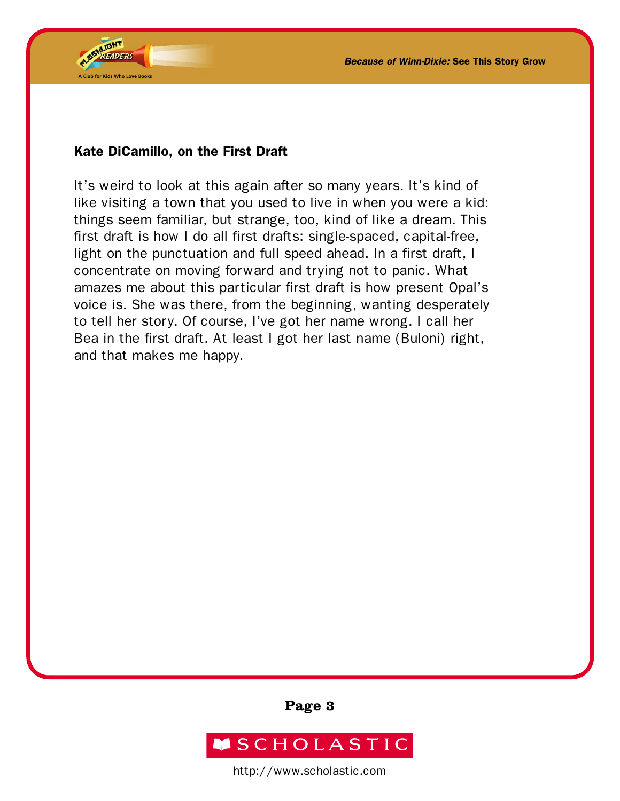

## Kate DiCamillo, on the First Draft

It's weird to look at this again after so many years. It's kind of like visiting a town that you used to live in when you were a kid: things seem familiar, but strange, too, kind of like a dream. This first draft is how I do all first drafts: single-spaced, capital-free, light on the punctuation and full speed ahead. In a first draft, I concentrate on moving forward and trying not to panic. What amazes me about this particular first draft is how present Opal's voice is. She was there, from the beginning, wanting desperately to tell her story. Of course, I've got her name wrong. I call her Bea in the first draft. At least I got her last name (Buloni) right, and that makes me happy.

**Page 3**

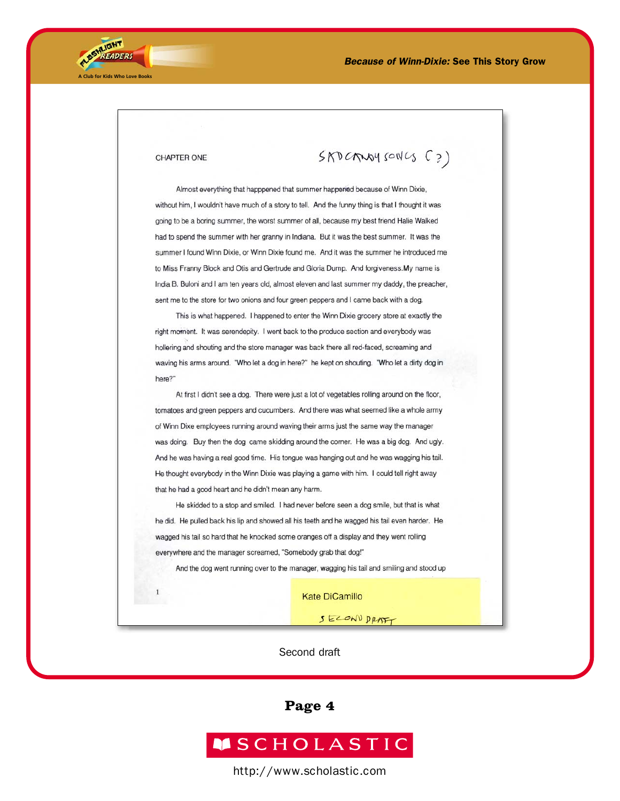

#### CHAPTER ONE

 $\mathbf{1}$ 

SAD CANOY SONCS (?)

Almost everything that happpened that summer happened because of Winn Dixie, without him, I wouldn't have much of a story to tell. And the funny thing is that I thought it was going to be a boring summer, the worst summer of all, because my best friend Halie Walked had to spend the summer with her granny in Indiana. But it was the best summer. It was the summer I found Winn Dixie, or Winn Dixie found me. And it was the summer he introduced me to Miss Franny Block and Otis and Gertrude and Gloria Dump. And forgiveness.My name is India B. Buloni and I am ten years old, almost eleven and last summer my daddy, the preacher, sent me to the store for two onions and four green peppers and I came back with a dog.

This is what happened. I happened to enter the Winn Dixie grocery store at exactly the right moment. It was serendepity. I went back to the produce section and everybody was hollering and shouting and the store manager was back there all red-faced, screaming and waving his arms around. "Who let a dog in here?" he kept on shouting. "Who let a dirty dog in here?"

At first I didn't see a dog. There were just a lot of vegetables rolling around on the floor, tomatoes and green peppers and cucumbers. And there was what seemed like a whole army of Winn Dixe employees running around waving their arms just the same way the manager was doing. Buy then the dog came skidding around the corner. He was a big dog. And ugly. And he was having a real good time. His tongue was hanging out and he was wagging his tail. He thought everybody in the Winn Dixie was playing a game with him. I could tell right away that he had a good heart and he didn't mean any harm.

He skidded to a stop and smiled. I had never before seen a dog smile, but that is what he did. He pulled back his lip and showed all his teeth and he wagged his tail even harder. He wagged his tail so hard that he knocked some oranges off a display and they went rolling everywhere and the manager screamed, "Somebody grab that dog!"

And the dog went running over to the manager, wagging his tail and smiling and stood up

**Kate DiCamillo** 

SECOND DRAFT

#### Second draft

**Page 4**

## **MSCHOLASTIC**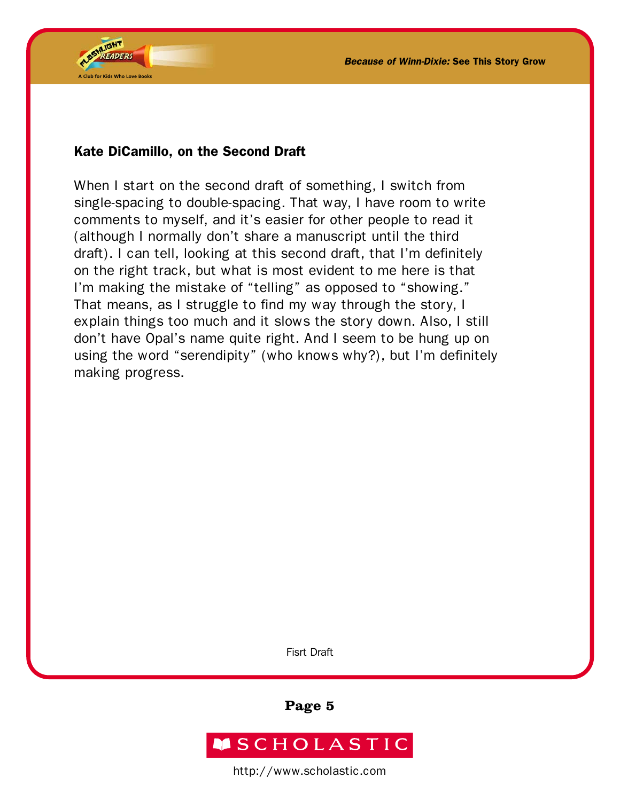

### Kate DiCamillo, on the Second Draft

When I start on the second draft of something, I switch from single-spacing to double-spacing. That way, I have room to write comments to myself, and it's easier for other people to read it (although I normally don't share a manuscript until the third draft). I can tell, looking at this second draft, that I'm definitely on the right track, but what is most evident to me here is that I'm making the mistake of "telling" as opposed to "showing." That means, as I struggle to find my way through the story, I explain things too much and it slows the story down. Also, I still don't have Opal's name quite right. And I seem to be hung up on using the word "serendipity" (who knows why?), but I'm definitely making progress.

Fisrt Draft

**Page 5**

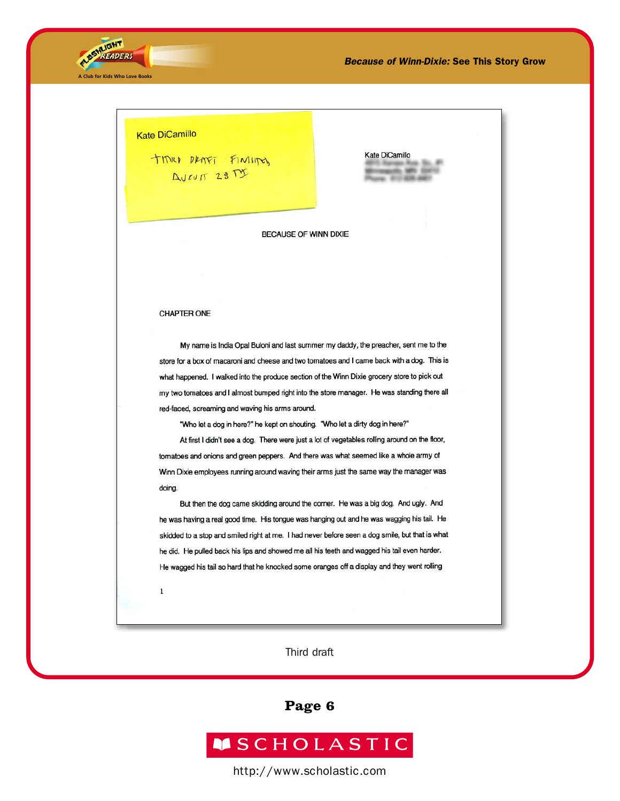



Kate DiCamillo

BECAUSE OF WINN DIXIE

#### **CHAPTER ONE**

My name is India Opal Buloni and last summer my daddy, the preacher, sent me to the store for a box of macaroni and cheese and two tomatoes and I came back with a dog. This is what happened. I walked into the produce section of the Winn Dixie grocery store to pick out my two tomatoes and I almost bumped right into the store manager. He was standing there all red-faced, screaming and waving his arms around.

"Who let a dog in here?" he kept on shouting. "Who let a dirty dog in here?"

At first I didn't see a dog. There were just a lot of vegetables rolling around on the floor, tomatoes and onions and green peppers. And there was what seemed like a whole army of Winn Dixie employees running around waving their arms just the same way the manager was doing.

But then the dog came skidding around the comer. He was a big dog. And ugly. And he was having a real good time. His tongue was hanging out and he was wagging his tail. He skidded to a stop and smiled right at me. I had never before seen a dog smile, but that is what he did. He pulled back his lips and showed me all his teeth and wagged his tail even harder. He wagged his tail so hard that he knocked some oranges off a display and they went rolling

 $\mathbf{1}$ 

Third draft

**Page 6**

# **MSCHOLASTIC**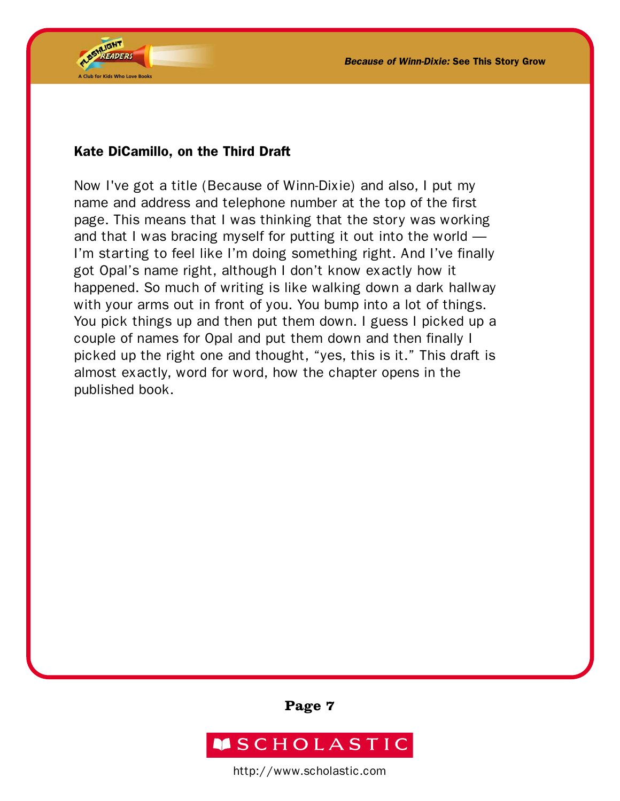

## Kate DiCamillo, on the Third Draft

Now I've got a title (Because of Winn-Dixie) and also, I put my name and address and telephone number at the top of the first page. This means that I was thinking that the story was working and that I was bracing myself for putting it out into the world — I'm starting to feel like I'm doing something right. And I've finally got Opal's name right, although I don't know exactly how it happened. So much of writing is like walking down a dark hallway with your arms out in front of you. You bump into a lot of things. You pick things up and then put them down. I guess I picked up a couple of names for Opal and put them down and then finally I picked up the right one and thought, "yes, this is it." This draft is almost exactly, word for word, how the chapter opens in the published book.

**Page 7**

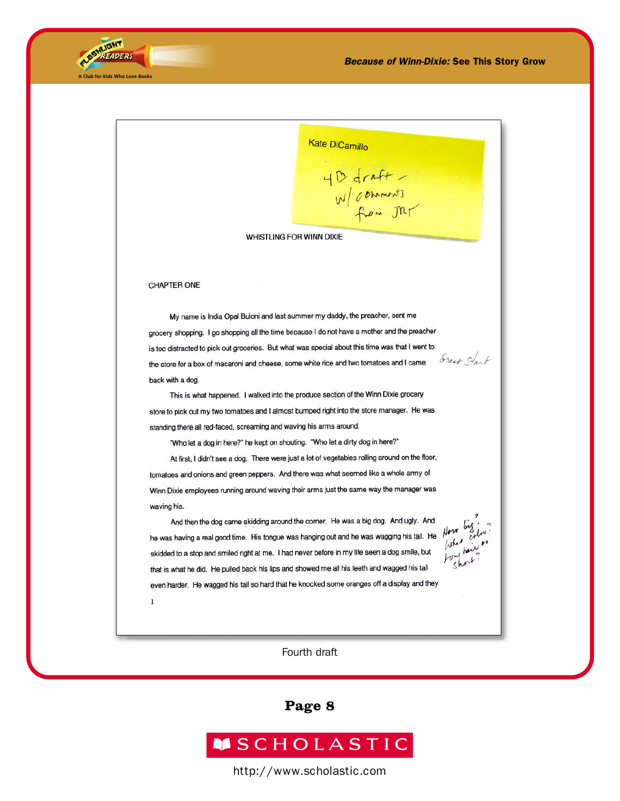

 $\,1\,$ 

Kate DiCamillo 4 D draft<br>W/ commonts<br>from Mr WHISTLING FOR WINN DIXIE **CHAPTER ONE** My name is India Opal Buloni and last summer my daddy, the preacher, sent me grocery shopping. I go shopping all the time because I do not have a mother and the preacher is too distracted to pick out groceries. But what was special about this time was that I went to Great Start the store for a box of macaroni and cheese, some white rice and two tomatoes and I came back with a dog. This is what happened. I walked into the produce section of the Winn Dixie grocery store to pick out my two tomatoes and I almost bumped right into the store manager. He was standing there all red-faced, screaming and waving his arms around. "Who let a dog in here?" he kept on shouting. "Who let a dirty dog in here?" At first, I didn't see a dog. There were just a lot of vegetables rolling around on the floor, tomatoes and onions and green peppers. And there was what seemed like a whole army of Winn Dixie employees running around waving their arms just the same way the manager was waving his. And then the dog came skidding around the corner. He was a big dog. And ugly. And he was having a real good time. His tongue was hanging out and he was wagging his tail. He skidded to a stop and smiled right at me. I had never before in my life seen a dog smile, but that is what he did. He pulled back his lips and showed me all his teeth and wagged his tail even harder. He wagged his tail so hard that he knocked some oranges off a display and they

#### Fourth draft

**Page 8**

# **MSCHOLASTIC**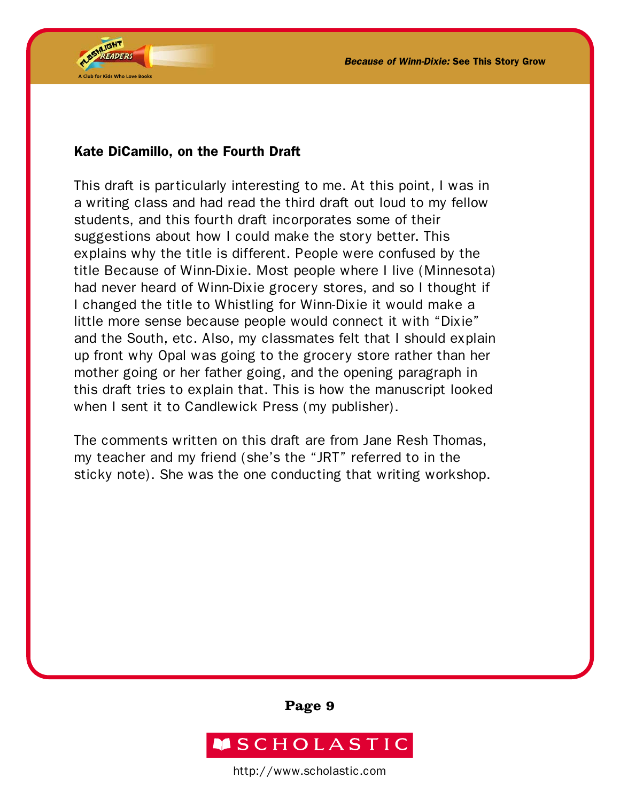

## Kate DiCamillo, on the Fourth Draft

This draft is particularly interesting to me. At this point, I was in a writing class and had read the third draft out loud to my fellow students, and this fourth draft incorporates some of their suggestions about how I could make the story better. This explains why the title is different. People were confused by the title Because of Winn-Dixie. Most people where I live (Minnesota) had never heard of Winn-Dixie grocery stores, and so I thought if I changed the title to Whistling for Winn-Dixie it would make a little more sense because people would connect it with "Dixie" and the South, etc. Also, my classmates felt that I should explain up front why Opal was going to the grocery store rather than her mother going or her father going, and the opening paragraph in this draft tries to explain that. This is how the manuscript looked when I sent it to Candlewick Press (my publisher).

The comments written on this draft are from Jane Resh Thomas, my teacher and my friend (she's the "JRT" referred to in the sticky note). She was the one conducting that writing workshop.

**Page 9**

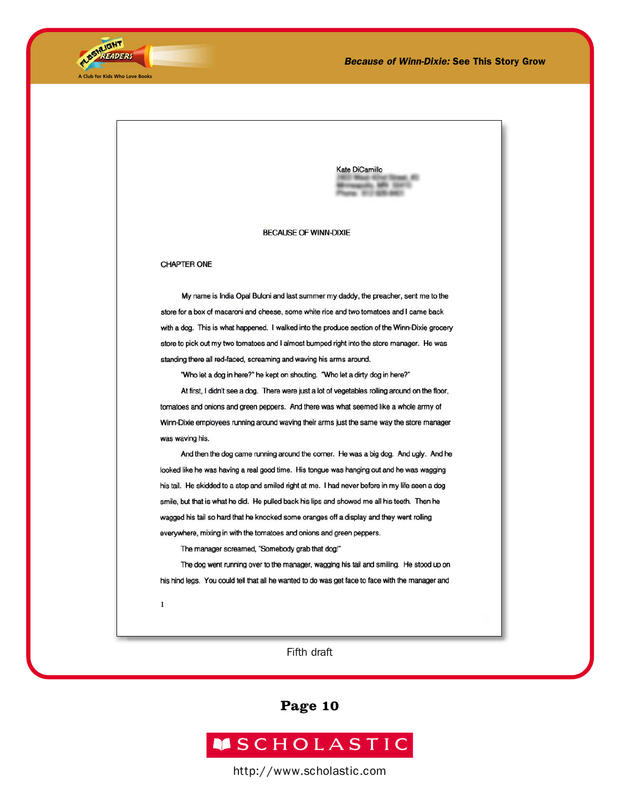



Kate DiCamillo

#### **BECAUSE OF WINN-DIXIE**

#### **CHAPTER ONE**

My name is India Opal Buloni and last summer my daddy, the preacher, sent me to the store for a box of macaroni and cheese, some white rice and two tomatoes and I came back with a dog. This is what happened. I walked into the produce section of the Winn-Dixie grocery store to pick out my two tomatoes and I almost bumped right into the store manager. He was standing there all red-faced, screaming and waving his arms around.

"Who let a dog in here?" he kept on shouting. "Who let a dirty dog in here?"

At first, I didn't see a dog. There were just a lot of vegetables rolling around on the floor, tomatoes and onions and green peppers. And there was what seemed like a whole army of Winn-Dixie employees running around waving their arms just the same way the store manager was waving his.

And then the dog came running around the corner. He was a big dog. And ugly. And he looked like he was having a real good time. His tongue was hanging out and he was wagging his tail. He skidded to a stop and smiled right at me. I had never before in my life seen a dog smile, but that is what he did. He pulled back his lips and showed me all his teeth. Then he wagged his tail so hard that he knocked some oranges off a display and they went rolling everywhere, mixing in with the tomatoes and onions and green peppers.

The manager screamed, "Somebody grab that dog!"

The dog went running over to the manager, wagging his tail and smiling. He stood up on his hind legs. You could tell that all he wanted to do was get face to face with the manager and

 $1\,$ 

Fifth draft

**Page 10**

# **MSCHOLASTIC**